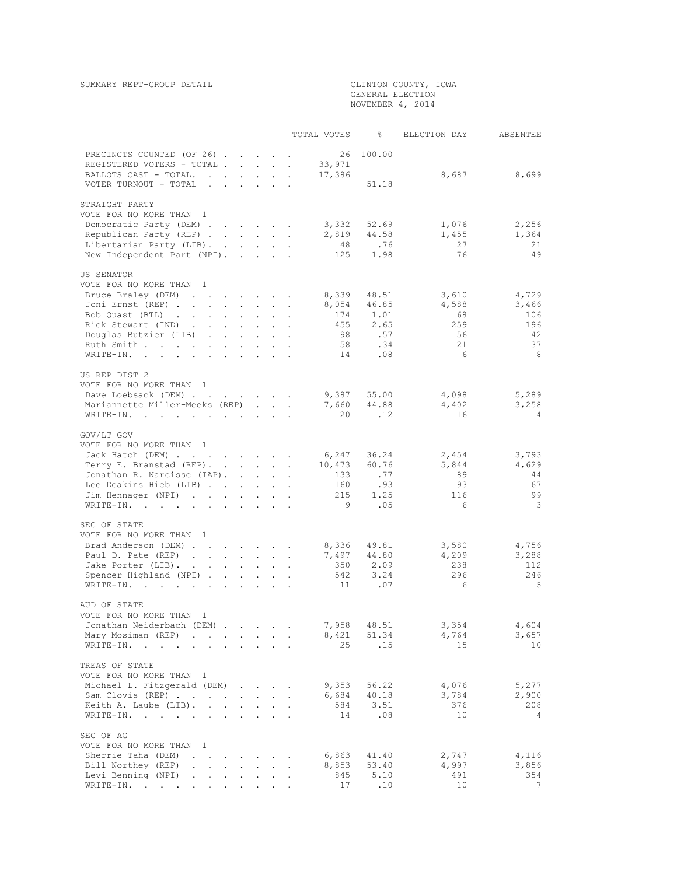GENERAL ELECTION NOVEMBER 4, 2014

|                                                                                           |                                                           |                        |                           | TOTAL VOTES | ిం          | ELECTION DAY | ABSENTEE       |
|-------------------------------------------------------------------------------------------|-----------------------------------------------------------|------------------------|---------------------------|-------------|-------------|--------------|----------------|
|                                                                                           |                                                           |                        |                           | 26          | 100.00      |              |                |
| PRECINCTS COUNTED (OF 26)<br>REGISTERED VOTERS - TOTAL .                                  | and the state of the state of                             |                        | $\sim$                    | 33,971      |             |              |                |
| BALLOTS CAST - TOTAL.<br>$\ddot{\phantom{a}}$<br>$\ddot{\phantom{a}}$                     | $\mathcal{L}^{\text{max}}$                                | $\mathbf{L}$<br>$\sim$ |                           | 17,386      |             | 8,687        | 8,699          |
| VOTER TURNOUT - TOTAL<br>$\ddot{\phantom{a}}$<br>$\sim$                                   |                                                           |                        |                           |             | 51.18       |              |                |
| STRAIGHT PARTY                                                                            |                                                           |                        |                           |             |             |              |                |
| VOTE FOR NO MORE THAN 1                                                                   |                                                           |                        |                           |             |             |              |                |
| Democratic Party (DEM)                                                                    |                                                           |                        |                           | 3,332       | 52.69       | 1,076        | 2,256          |
| Republican Party (REP)                                                                    |                                                           |                        |                           | 2,819       | 44.58       | 1,455        | 1,364          |
| Libertarian Party (LIB).                                                                  |                                                           |                        |                           | 48          | .76         | 27           | 21             |
| New Independent Part (NPI).                                                               | $\mathbf{r}$ , $\mathbf{r}$ , $\mathbf{r}$ , $\mathbf{r}$ |                        |                           | 125         | 1.98        | 76           | 49             |
| US SENATOR                                                                                |                                                           |                        |                           |             |             |              |                |
| VOTE FOR NO MORE THAN 1                                                                   |                                                           |                        |                           |             |             |              |                |
| Bruce Braley (DEM)<br>$\cdot$ $\cdot$ $\cdot$ $\cdot$ $\cdot$ $\cdot$                     |                                                           |                        |                           | 8,339       | 48.51       | 3,610        | 4,729          |
| Joni Ernst (REP)                                                                          |                                                           |                        |                           | 8,054       | 46.85       | 4,588        | 3,466          |
| Bob Quast (BTL)                                                                           |                                                           | $\sim$                 |                           | 174         | 1.01        | 68           | 106            |
| Rick Stewart (IND)                                                                        |                                                           |                        | $\ddot{\phantom{a}}$      | 455         | 2.65        | 259          | 196            |
| Douglas Butzier (LIB)                                                                     | $\mathbf{L}$                                              | $\mathbf{L}$           |                           | 98          | .57         | 56           | 42             |
| Ruth Smith                                                                                |                                                           | $\sim 10^{-11}$        | $\bullet$                 | 58          | .34         | 21           | 37             |
| WRITE-IN.                                                                                 |                                                           | $\sim$<br>$\mathbf{L}$ | $\sim$                    | 14          | .08         | 6            | - 8            |
| US REP DIST 2                                                                             |                                                           |                        |                           |             |             |              |                |
| VOTE FOR NO MORE THAN 1                                                                   |                                                           |                        |                           |             |             |              |                |
| Dave Loebsack (DEM)                                                                       |                                                           |                        |                           | 9,387       | 55.00       | 4,098        | 5,289          |
| Mariannette Miller-Meeks (REP)                                                            |                                                           |                        |                           | 7,660       | 44.88       | 4,402        | 3,258          |
| WRITE-IN.<br>$\sim$                                                                       |                                                           |                        |                           | 20          | .12         | 16           | $\overline{4}$ |
|                                                                                           |                                                           |                        |                           |             |             |              |                |
| GOV/LT GOV                                                                                |                                                           |                        |                           |             |             |              |                |
| VOTE FOR NO MORE THAN 1                                                                   |                                                           |                        |                           |             |             |              |                |
| Jack Hatch (DEM)                                                                          |                                                           |                        |                           | 6,247       | 36.24       | 2,454        | 3,793          |
| Terry E. Branstad (REP).                                                                  |                                                           |                        |                           | 10,473      | 60.76       | 5,844        | 4,629          |
| Jonathan R. Narcisse (IAP).                                                               |                                                           |                        |                           | 133         | .77         | 89           | 44             |
| Lee Deakins Hieb (LIB)                                                                    |                                                           |                        | $\bullet$                 | 160         | .93         | 93           | 67             |
| Jim Hennager (NPI)                                                                        |                                                           |                        |                           | 215         | 1.25        | 116          | 99             |
| WRITE-IN.<br>the contract of the contract of the contract of                              |                                                           |                        |                           | - 9         | .05         | 6            | 3              |
| SEC OF STATE                                                                              |                                                           |                        |                           |             |             |              |                |
| VOTE FOR NO MORE THAN 1                                                                   |                                                           |                        |                           |             |             |              |                |
| Brad Anderson (DEM)                                                                       |                                                           |                        |                           | 8,336       | 49.81       | 3,580        | 4,756          |
| Paul D. Pate (REP)                                                                        |                                                           | $\sim$                 | $\ddot{\phantom{a}}$      | 7,497       | 44.80       | 4,209        | 3,288          |
| Jake Porter (LIB).                                                                        |                                                           | $\sim$                 | $\mathbb{Z}^2$            | 350         | 2.09        | 238          | 112.           |
| Spencer Highland (NPI)                                                                    |                                                           | $\sim$                 | $\sim$                    | 542         | 3.24        | 296          | 246            |
| WRITE-IN.                                                                                 |                                                           | $\sim$                 | $\mathbf{L} = \mathbf{L}$ | 11          | .07         | 6            | 5              |
| AUD OF STATE                                                                              |                                                           |                        |                           |             |             |              |                |
| VOTE FOR NO MORE THAN<br>$\overline{1}$                                                   |                                                           |                        |                           |             |             |              |                |
| Jonathan Neiderbach (DEM)                                                                 |                                                           |                        |                           | 7,958       | 48.51       | 3,354        | 4,604          |
| Mary Mosiman (REP)<br>$\mathcal{L}^{\text{max}}$ .                                        |                                                           |                        |                           | 8,421       | 51.34       | 4,764        | 3,657          |
| WRITE-IN.<br>$\sim$ $\sim$                                                                |                                                           |                        |                           | 25          | .15         | 15           | 10             |
| TREAS OF STATE                                                                            |                                                           |                        |                           |             |             |              |                |
| VOTE FOR NO MORE THAN                                                                     |                                                           |                        |                           |             |             |              |                |
| $\mathbf{1}$<br>Michael L. Fitzgerald (DEM)                                               |                                                           |                        |                           | 9,353       |             | 4,076        | 5,277          |
|                                                                                           | and a state of the                                        |                        |                           | 6,684       | 56.22       |              |                |
| Sam Clovis (REP)<br>$\ddot{\phantom{a}}$<br>$\ddot{\phantom{0}}$<br>Keith A. Laube (LIB). | $\sim$                                                    | $\ddot{\phantom{a}}$   |                           | 584         | 40.18       | 3,784<br>376 | 2,900<br>208   |
| $\sim$<br>$\ddot{\phantom{a}}$<br>$\overline{a}$<br>WRITE-IN.<br>$\bullet$                | $\ddot{\phantom{0}}$                                      | $\mathbf{r}$           |                           | 14          | 3.51<br>.08 | 10           | 4              |
|                                                                                           |                                                           |                        |                           |             |             |              |                |
| SEC OF AG<br>VOTE FOR NO MORE THAN 1                                                      |                                                           |                        |                           |             |             |              |                |
| Sherrie Taha (DEM)<br>$\ddot{\phantom{0}}$<br>$\sim$                                      |                                                           |                        |                           | 6,863       | 41.40       | 2,747        | 4,116          |
| Bill Northey (REP)                                                                        |                                                           |                        |                           | 8,853       | 53.40       | 4,997        | 3,856          |
| Levi Benning (NPI)<br>$\ddot{\phantom{0}}$<br>$\ddot{\phantom{0}}$                        | $\sim$<br>$\bullet$                                       | $\ddot{\phantom{0}}$   |                           | 845         | 5.10        | 491          | 354            |
| WRITE-IN.                                                                                 |                                                           |                        |                           | 17          | .10         | 10           | 7              |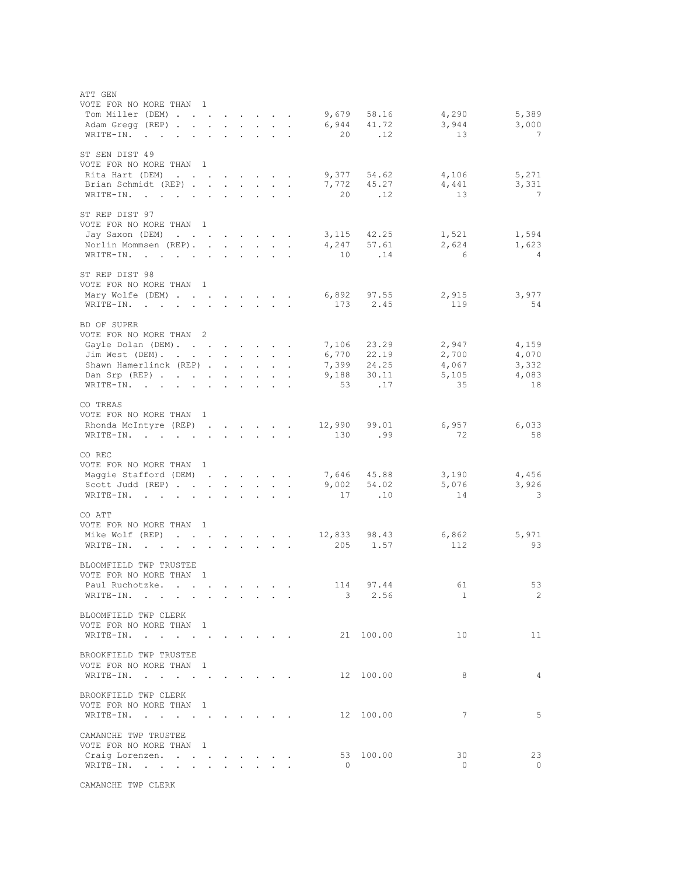| ATT GEN<br>VOTE FOR NO MORE THAN 1                             |                            |                      |                                                                                                                                                                                                                                                                                                                                                                                                                        |                                                                                                                                               |                                                           |                           |                     |                 |                     |                         |
|----------------------------------------------------------------|----------------------------|----------------------|------------------------------------------------------------------------------------------------------------------------------------------------------------------------------------------------------------------------------------------------------------------------------------------------------------------------------------------------------------------------------------------------------------------------|-----------------------------------------------------------------------------------------------------------------------------------------------|-----------------------------------------------------------|---------------------------|---------------------|-----------------|---------------------|-------------------------|
| Tom Miller (DEM)                                               |                            |                      | $\mathbf{1}=\mathbf{1}=\mathbf{1}=\mathbf{1}=\mathbf{1}=\mathbf{1}=\mathbf{1}=\mathbf{1}=\mathbf{1}=\mathbf{1}=\mathbf{1}=\mathbf{1}=\mathbf{1}=\mathbf{1}=\mathbf{1}=\mathbf{1}=\mathbf{1}=\mathbf{1}=\mathbf{1}=\mathbf{1}=\mathbf{1}=\mathbf{1}=\mathbf{1}=\mathbf{1}=\mathbf{1}=\mathbf{1}=\mathbf{1}=\mathbf{1}=\mathbf{1}=\mathbf{1}=\mathbf{1}=\mathbf{1}=\mathbf{1}=\mathbf{1}=\mathbf{1}=\mathbf{1}=\mathbf{$ |                                                                                                                                               |                                                           |                           | 9,679               | 58.16           | 4,290               | 5,389                   |
| Adam Gregg (REP)                                               |                            |                      |                                                                                                                                                                                                                                                                                                                                                                                                                        |                                                                                                                                               |                                                           |                           | 6,944<br>20         | 41.72<br>.12    | 3,944<br>13         | 3,000<br>$\overline{7}$ |
| WRITE-IN.                                                      | $\mathbf{L} = \mathbf{L}$  | $\mathbf{L}$         | $\sim$                                                                                                                                                                                                                                                                                                                                                                                                                 | $\mathbf{L}$                                                                                                                                  | $\sim$                                                    |                           |                     |                 |                     |                         |
| ST SEN DIST 49<br>VOTE FOR NO MORE THAN 1                      |                            |                      |                                                                                                                                                                                                                                                                                                                                                                                                                        |                                                                                                                                               |                                                           |                           |                     |                 |                     |                         |
| Rita Hart (DEM)                                                |                            |                      | $\mathbf{L} = \mathbf{L} \times \mathbf{L} = \mathbf{L} \times \mathbf{L}$                                                                                                                                                                                                                                                                                                                                             |                                                                                                                                               |                                                           |                           |                     |                 | $9,377$ 54.62 4,106 | 5,271                   |
| Brian Schmidt (REP)                                            |                            |                      |                                                                                                                                                                                                                                                                                                                                                                                                                        |                                                                                                                                               |                                                           |                           |                     | 7,772 45.27     | 4,441               | 3,331                   |
| WRITE-IN.                                                      | $\mathcal{L}^{\text{max}}$ |                      | $\mathbf{L} = \mathbf{L} \mathbf{L}$                                                                                                                                                                                                                                                                                                                                                                                   |                                                                                                                                               | $\mathbf{r} = \mathbf{r} \mathbf{r}$ , where $\mathbf{r}$ |                           | 20                  | .12             | 13                  | $\overline{7}$          |
| ST REP DIST 97<br>VOTE FOR NO MORE THAN 1                      |                            |                      |                                                                                                                                                                                                                                                                                                                                                                                                                        |                                                                                                                                               |                                                           |                           |                     |                 |                     |                         |
| Jay Saxon (DEM)                                                |                            | $\mathbf{L}$         |                                                                                                                                                                                                                                                                                                                                                                                                                        | $\mathbf{r} = \mathbf{r} \times \mathbf{r}$ . The $\mathbf{r}$                                                                                |                                                           |                           |                     | 3, 115 42. 25   | 1,521               | 1,594                   |
| Norlin Mommsen (REP). .                                        |                            |                      | $\mathbf{r} = \mathbf{r} + \mathbf{r} + \mathbf{r} + \mathbf{r} + \mathbf{r}$                                                                                                                                                                                                                                                                                                                                          |                                                                                                                                               |                                                           |                           | 4,247               | 57.61           | 2,624               | 1,623                   |
| WRITE-IN.                                                      | $\ddot{\phantom{a}}$       | $\mathbf{L}$         |                                                                                                                                                                                                                                                                                                                                                                                                                        |                                                                                                                                               |                                                           |                           | 10                  | .14             | $6\overline{6}$     | $\sim$ 4                |
| ST REP DIST 98<br>VOTE FOR NO MORE THAN 1                      |                            |                      |                                                                                                                                                                                                                                                                                                                                                                                                                        |                                                                                                                                               |                                                           |                           |                     |                 |                     |                         |
| Mary Wolfe (DEM)                                               |                            | $\ddot{\phantom{0}}$ |                                                                                                                                                                                                                                                                                                                                                                                                                        | $\mathbf{z} = \mathbf{z} + \mathbf{z}$ , where $\mathbf{z} = \mathbf{z}$                                                                      |                                                           |                           |                     | 6,892 97.55     | 2,915               | 3,977                   |
| WRITE-IN.                                                      | $\blacksquare$             | $\ddot{\phantom{0}}$ |                                                                                                                                                                                                                                                                                                                                                                                                                        | $\mathbf{r}^{\prime}$ , $\mathbf{r}^{\prime}$ , $\mathbf{r}^{\prime}$ , $\mathbf{r}^{\prime}$ , $\mathbf{r}^{\prime}$ , $\mathbf{r}^{\prime}$ |                                                           |                           | 173                 | 2.45            | 119                 | 54                      |
| BD OF SUPER<br>VOTE FOR NO MORE THAN 2                         |                            |                      |                                                                                                                                                                                                                                                                                                                                                                                                                        |                                                                                                                                               |                                                           |                           |                     |                 |                     |                         |
| Gayle Dolan (DEM).                                             |                            |                      |                                                                                                                                                                                                                                                                                                                                                                                                                        |                                                                                                                                               |                                                           |                           | 7,106               | 23.29           | 2,947               | 4,159                   |
| Jim West (DEM).                                                |                            |                      | $\mathcal{L}^{\text{max}}$ , where $\mathcal{L}^{\text{max}}$                                                                                                                                                                                                                                                                                                                                                          | $\sim$                                                                                                                                        | $\sim$                                                    |                           |                     | 6,770 22.19     | 2,700               | 4,070                   |
| Shawn Hamerlinck (REP).                                        |                            |                      | $\mathbf{r} = \mathbf{r} \times \mathbf{r}$                                                                                                                                                                                                                                                                                                                                                                            |                                                                                                                                               | $\sim$                                                    | $\blacksquare$            |                     | 7,399 24.25     | 4,067               | 3,332                   |
| Dan Srp $(REP)$                                                |                            |                      |                                                                                                                                                                                                                                                                                                                                                                                                                        | $\sim$                                                                                                                                        | $\sim$                                                    |                           | 9,188               | 30.11           | 5,105               | 4,083                   |
| WRITE-IN.                                                      |                            |                      | $\mathbf{r} = \mathbf{r} \times \mathbf{r}$ . The set of $\mathbf{r}$                                                                                                                                                                                                                                                                                                                                                  |                                                                                                                                               | $\sim$                                                    | $\bullet$                 | 53                  | .17             | 35                  | 18                      |
| CO TREAS<br>VOTE FOR NO MORE THAN 1                            |                            |                      |                                                                                                                                                                                                                                                                                                                                                                                                                        |                                                                                                                                               |                                                           |                           |                     |                 |                     |                         |
| Rhonda McIntyre (REP).                                         |                            |                      | $\mathbf{L}^{\text{max}}$ , and $\mathbf{L}^{\text{max}}$ , and $\mathbf{L}^{\text{max}}$                                                                                                                                                                                                                                                                                                                              |                                                                                                                                               |                                                           | $\ddot{\phantom{a}}$      | 12,990 99.01        |                 | 6,957               | 6,033                   |
| WRITE-IN.                                                      |                            |                      |                                                                                                                                                                                                                                                                                                                                                                                                                        |                                                                                                                                               |                                                           | $\bullet$                 | 130                 | .99             | 72                  | 58                      |
| CO REC<br>VOTE FOR NO MORE THAN 1                              |                            |                      |                                                                                                                                                                                                                                                                                                                                                                                                                        |                                                                                                                                               |                                                           |                           |                     |                 |                     |                         |
| Maggie Stafford (DEM).                                         |                            |                      | $\mathbf{r} = \mathbf{r} + \mathbf{r} + \mathbf{r} + \mathbf{r}$                                                                                                                                                                                                                                                                                                                                                       |                                                                                                                                               |                                                           |                           |                     | 7,646 45.88     | 3,190               | 4,456                   |
| Scott Judd (REP)                                               |                            | $\sim$               | $\sim$ 100 $\pm$                                                                                                                                                                                                                                                                                                                                                                                                       | $\sim$                                                                                                                                        |                                                           | $\mathbf{L} = \mathbf{L}$ |                     | $9,002$ $54.02$ | 5,076               | 3,926                   |
| WRITE-IN.                                                      |                            | $\sim$               |                                                                                                                                                                                                                                                                                                                                                                                                                        |                                                                                                                                               |                                                           |                           | 17                  | .10             | 14                  | $\overline{\mathbf{3}}$ |
|                                                                |                            |                      |                                                                                                                                                                                                                                                                                                                                                                                                                        |                                                                                                                                               |                                                           |                           |                     |                 |                     |                         |
| CO ATT<br>VOTE FOR NO MORE THAN 1<br>Mike Wolf (REP)           |                            |                      |                                                                                                                                                                                                                                                                                                                                                                                                                        |                                                                                                                                               |                                                           |                           |                     |                 | 6,862               | 5,971                   |
| WRITE-IN.                                                      |                            |                      |                                                                                                                                                                                                                                                                                                                                                                                                                        |                                                                                                                                               |                                                           |                           | 12,833 98.43<br>205 | 1.57            | 112                 | 93                      |
|                                                                |                            |                      |                                                                                                                                                                                                                                                                                                                                                                                                                        |                                                                                                                                               |                                                           |                           |                     |                 |                     |                         |
| BLOOMFIELD TWP TRUSTEE<br>VOTE FOR NO MORE THAN 1              |                            |                      |                                                                                                                                                                                                                                                                                                                                                                                                                        |                                                                                                                                               |                                                           |                           |                     |                 |                     |                         |
| Paul Ruchotzke.                                                |                            |                      |                                                                                                                                                                                                                                                                                                                                                                                                                        |                                                                                                                                               |                                                           |                           | 114                 | 97.44           | 61                  | 53                      |
| WRITE-IN.                                                      |                            |                      |                                                                                                                                                                                                                                                                                                                                                                                                                        |                                                                                                                                               |                                                           |                           | $\mathcal{S}$       | 2.56            | 1                   | $\overline{2}$          |
| BLOOMFIELD TWP CLERK<br>VOTE FOR NO MORE THAN 1                |                            |                      |                                                                                                                                                                                                                                                                                                                                                                                                                        |                                                                                                                                               |                                                           |                           |                     |                 |                     |                         |
| WRITE-IN.                                                      |                            |                      |                                                                                                                                                                                                                                                                                                                                                                                                                        |                                                                                                                                               |                                                           |                           |                     | 21 100.00       | 10 <sub>o</sub>     | 11                      |
|                                                                |                            |                      |                                                                                                                                                                                                                                                                                                                                                                                                                        |                                                                                                                                               |                                                           |                           |                     |                 |                     |                         |
| BROOKFIELD TWP TRUSTEE<br>VOTE FOR NO MORE THAN 1<br>WRITE-IN. |                            |                      |                                                                                                                                                                                                                                                                                                                                                                                                                        |                                                                                                                                               |                                                           |                           |                     | 12 100.00       | 8                   | $\overline{4}$          |
|                                                                |                            |                      |                                                                                                                                                                                                                                                                                                                                                                                                                        |                                                                                                                                               |                                                           |                           |                     |                 |                     |                         |
| BROOKFIELD TWP CLERK                                           |                            |                      |                                                                                                                                                                                                                                                                                                                                                                                                                        |                                                                                                                                               |                                                           |                           |                     |                 |                     |                         |
| VOTE FOR NO MORE THAN 1                                        |                            |                      |                                                                                                                                                                                                                                                                                                                                                                                                                        |                                                                                                                                               |                                                           |                           |                     |                 |                     |                         |
| WRITE-IN.                                                      |                            |                      |                                                                                                                                                                                                                                                                                                                                                                                                                        |                                                                                                                                               |                                                           |                           |                     | 12 100.00       | 7                   | 5                       |
|                                                                |                            |                      |                                                                                                                                                                                                                                                                                                                                                                                                                        |                                                                                                                                               |                                                           |                           |                     |                 |                     |                         |
| CAMANCHE TWP TRUSTEE                                           |                            |                      |                                                                                                                                                                                                                                                                                                                                                                                                                        |                                                                                                                                               |                                                           |                           |                     |                 |                     |                         |
| VOTE FOR NO MORE THAN 1                                        |                            |                      |                                                                                                                                                                                                                                                                                                                                                                                                                        |                                                                                                                                               |                                                           |                           |                     | 53 100.00       | 30                  | 23                      |
| Craig Lorenzen.<br>WRITE-IN.                                   |                            |                      |                                                                                                                                                                                                                                                                                                                                                                                                                        |                                                                                                                                               |                                                           |                           | $\Omega$            |                 | $\circ$             | $\circ$                 |
|                                                                |                            |                      |                                                                                                                                                                                                                                                                                                                                                                                                                        |                                                                                                                                               |                                                           |                           |                     |                 |                     |                         |

CAMANCHE TWP CLERK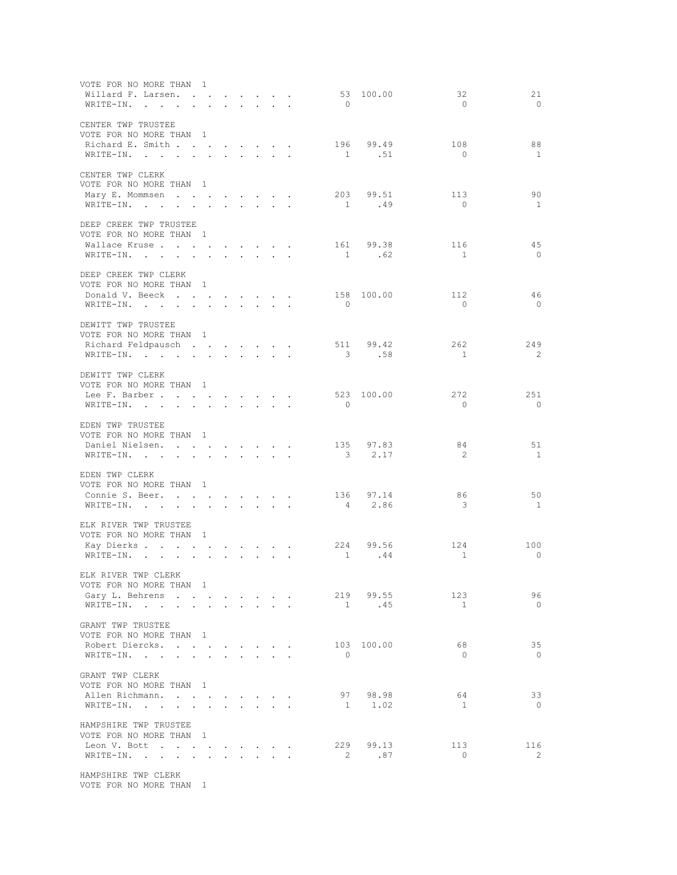| VOTE FOR NO MORE THAN 1<br>Willard F. Larsen.                                                | $\begin{array}{cccccccccccccccccc} \bullet & \bullet & \bullet & \bullet & \bullet & \bullet & \bullet & \bullet & \bullet & \bullet & \bullet & \bullet & \bullet \end{array}$ |              |                                                                                                                                     |                                                                                                                           |                           |                      |                          | 53 100.00  | 32             | 21                       |
|----------------------------------------------------------------------------------------------|---------------------------------------------------------------------------------------------------------------------------------------------------------------------------------|--------------|-------------------------------------------------------------------------------------------------------------------------------------|---------------------------------------------------------------------------------------------------------------------------|---------------------------|----------------------|--------------------------|------------|----------------|--------------------------|
| WRITE-IN.<br>$\mathbf{r}$                                                                    | $\mathbf{L}$                                                                                                                                                                    |              | $\mathbf{r} = \mathbf{r} + \mathbf{r} + \mathbf{r} + \mathbf{r} + \mathbf{r}$                                                       |                                                                                                                           |                           |                      | $\bigcirc$               |            | $\bigcirc$     | $\bigcirc$               |
| CENTER TWP TRUSTEE<br>VOTE FOR NO MORE THAN 1                                                |                                                                                                                                                                                 |              |                                                                                                                                     |                                                                                                                           |                           |                      |                          |            |                |                          |
| Richard E. Smith                                                                             |                                                                                                                                                                                 |              |                                                                                                                                     |                                                                                                                           |                           |                      | 196                      | 99.49      | 108            | 88                       |
|                                                                                              |                                                                                                                                                                                 |              |                                                                                                                                     |                                                                                                                           |                           |                      |                          | 1 .51      | $\bigcirc$     | $\overline{1}$           |
| WRITE-IN.                                                                                    |                                                                                                                                                                                 |              |                                                                                                                                     |                                                                                                                           |                           |                      |                          |            |                |                          |
| CENTER TWP CLERK                                                                             |                                                                                                                                                                                 |              |                                                                                                                                     |                                                                                                                           |                           |                      |                          |            |                |                          |
| VOTE FOR NO MORE THAN 1                                                                      |                                                                                                                                                                                 |              |                                                                                                                                     |                                                                                                                           |                           |                      |                          |            |                |                          |
| Mary E. Mommsen                                                                              |                                                                                                                                                                                 |              |                                                                                                                                     |                                                                                                                           |                           |                      |                          | 203 99.51  | 113            | 90                       |
| WRITE-IN.<br>$\sim$                                                                          | $\sim$<br>$\sim$                                                                                                                                                                |              | and a state of                                                                                                                      |                                                                                                                           | $\sim$                    |                      |                          | 1 .49      | $\bigcirc$     | $\mathbf{1}$             |
| DEEP CREEK TWP TRUSTEE                                                                       |                                                                                                                                                                                 |              |                                                                                                                                     |                                                                                                                           |                           |                      |                          |            |                |                          |
| VOTE FOR NO MORE THAN 1                                                                      |                                                                                                                                                                                 |              |                                                                                                                                     |                                                                                                                           |                           |                      |                          |            |                |                          |
| Wallace Kruse                                                                                |                                                                                                                                                                                 |              |                                                                                                                                     |                                                                                                                           |                           |                      |                          | 161 99.38  | 116            | 45                       |
| WRITE-IN.<br>the contract of the contract of the contract of                                 |                                                                                                                                                                                 |              |                                                                                                                                     |                                                                                                                           |                           |                      |                          | 1 .62      | $\mathbf{1}$   | $\overline{0}$           |
|                                                                                              |                                                                                                                                                                                 |              |                                                                                                                                     |                                                                                                                           |                           |                      |                          |            |                |                          |
| DEEP CREEK TWP CLERK<br>VOTE FOR NO MORE THAN 1                                              |                                                                                                                                                                                 |              |                                                                                                                                     |                                                                                                                           |                           |                      |                          |            |                |                          |
|                                                                                              |                                                                                                                                                                                 |              |                                                                                                                                     |                                                                                                                           |                           |                      |                          | 158 100.00 | 112            | -46                      |
| Donald V. Beeck                                                                              |                                                                                                                                                                                 |              | $\mathbf{r} = \mathbf{r} + \mathbf{r}$                                                                                              |                                                                                                                           |                           |                      | $\bigcirc$               |            | $\overline{0}$ | $\overline{\phantom{0}}$ |
| WRITE-IN.                                                                                    |                                                                                                                                                                                 |              |                                                                                                                                     | $\sim$ $-$                                                                                                                | $\sim$                    | $\ddot{\phantom{a}}$ |                          |            |                |                          |
| DEWITT TWP TRUSTEE                                                                           |                                                                                                                                                                                 |              |                                                                                                                                     |                                                                                                                           |                           |                      |                          |            |                |                          |
| VOTE FOR NO MORE THAN 1                                                                      |                                                                                                                                                                                 |              |                                                                                                                                     |                                                                                                                           |                           |                      |                          |            |                |                          |
| Richard Feldpausch                                                                           |                                                                                                                                                                                 |              |                                                                                                                                     |                                                                                                                           |                           |                      |                          | 511 99.42  | 2.62.          | 249                      |
| WRITE-IN.                                                                                    |                                                                                                                                                                                 |              |                                                                                                                                     |                                                                                                                           |                           |                      |                          | 3 .58      | $\mathbf{1}$   | $\overline{2}$           |
|                                                                                              |                                                                                                                                                                                 |              |                                                                                                                                     |                                                                                                                           |                           |                      |                          |            |                |                          |
| DEWITT TWP CLERK                                                                             |                                                                                                                                                                                 |              |                                                                                                                                     |                                                                                                                           |                           |                      |                          |            |                |                          |
| VOTE FOR NO MORE THAN 1                                                                      |                                                                                                                                                                                 |              |                                                                                                                                     |                                                                                                                           |                           |                      |                          |            |                |                          |
| Lee F. Barber                                                                                |                                                                                                                                                                                 |              |                                                                                                                                     |                                                                                                                           |                           |                      |                          | 523 100.00 | 272            | 251                      |
| WRITE-IN.                                                                                    |                                                                                                                                                                                 |              | $\mathbf{r} = \mathbf{r} + \mathbf{r} + \mathbf{r} + \mathbf{r} + \mathbf{r} + \mathbf{r}$                                          |                                                                                                                           |                           |                      | $\bigcirc$               |            | $\bigcirc$     | $\bigcirc$               |
| EDEN TWP TRUSTEE                                                                             |                                                                                                                                                                                 |              |                                                                                                                                     |                                                                                                                           |                           |                      |                          |            |                |                          |
| VOTE FOR NO MORE THAN 1                                                                      |                                                                                                                                                                                 |              |                                                                                                                                     |                                                                                                                           |                           |                      |                          |            |                |                          |
| Daniel Nielsen.                                                                              |                                                                                                                                                                                 |              |                                                                                                                                     |                                                                                                                           |                           |                      | 135                      | 97.83      | 84             | 51                       |
| WRITE-IN.                                                                                    |                                                                                                                                                                                 |              |                                                                                                                                     |                                                                                                                           |                           |                      | $\overline{\phantom{a}}$ | 2.17       | 2              | $\overline{1}$           |
|                                                                                              |                                                                                                                                                                                 |              |                                                                                                                                     |                                                                                                                           |                           |                      |                          |            |                |                          |
| EDEN TWP CLERK                                                                               |                                                                                                                                                                                 |              |                                                                                                                                     |                                                                                                                           |                           |                      |                          |            |                |                          |
| VOTE FOR NO MORE THAN 1                                                                      |                                                                                                                                                                                 |              |                                                                                                                                     |                                                                                                                           |                           |                      |                          |            |                |                          |
| Connie S. Beer.                                                                              |                                                                                                                                                                                 |              |                                                                                                                                     |                                                                                                                           |                           |                      |                          | 136 97.14  | 86             | 50                       |
| WRITE-IN.<br>the contract of the contract of the contract of the contract of the contract of |                                                                                                                                                                                 |              | $\begin{array}{cccccccccccccc} \bullet & \bullet & \bullet & \bullet & \bullet & \bullet & \bullet & \bullet & \bullet \end{array}$ |                                                                                                                           |                           |                      |                          | 4 2.86     | -3             | $\overline{1}$           |
|                                                                                              |                                                                                                                                                                                 |              |                                                                                                                                     |                                                                                                                           |                           |                      |                          |            |                |                          |
| ELK RIVER TWP TRUSTEE                                                                        |                                                                                                                                                                                 |              |                                                                                                                                     |                                                                                                                           |                           |                      |                          |            |                |                          |
| VOTE FOR NO MORE THAN 1                                                                      |                                                                                                                                                                                 |              |                                                                                                                                     |                                                                                                                           |                           |                      |                          | 99.56      | 124            |                          |
| Kay Dierks<br>WRITE-IN.                                                                      |                                                                                                                                                                                 | $\mathbf{L}$ | $\mathbf{L}^{\text{max}}$                                                                                                           | $\mathbf{L}$                                                                                                              | $\mathbf{L} = \mathbf{L}$ |                      | 224<br>$\sim$ 1          | .44        | 1              | 100<br>$\circ$           |
|                                                                                              | $\sim$                                                                                                                                                                          |              |                                                                                                                                     |                                                                                                                           |                           |                      |                          |            |                |                          |
| ELK RIVER TWP CLERK                                                                          |                                                                                                                                                                                 |              |                                                                                                                                     |                                                                                                                           |                           |                      |                          |            |                |                          |
| VOTE FOR NO MORE THAN 1                                                                      |                                                                                                                                                                                 |              |                                                                                                                                     |                                                                                                                           |                           |                      |                          |            |                |                          |
| Gary L. Behrens                                                                              |                                                                                                                                                                                 |              | $\mathbf{r}$ , and $\mathbf{r}$ , and $\mathbf{r}$                                                                                  |                                                                                                                           |                           |                      |                          | 219 99.55  | 123            | 96                       |
| WRITE-IN.                                                                                    |                                                                                                                                                                                 | $\bullet$ .  |                                                                                                                                     | $\begin{array}{cccccccccccccc} \bullet & \bullet & \bullet & \bullet & \bullet & \bullet & \bullet & \bullet \end{array}$ |                           |                      |                          | 1 .45      | 1              | $\overline{0}$           |
|                                                                                              |                                                                                                                                                                                 |              |                                                                                                                                     |                                                                                                                           |                           |                      |                          |            |                |                          |
| GRANT TWP TRUSTEE<br>VOTE FOR NO MORE THAN 1                                                 |                                                                                                                                                                                 |              |                                                                                                                                     |                                                                                                                           |                           |                      |                          |            |                |                          |
| Robert Diercks.                                                                              |                                                                                                                                                                                 |              |                                                                                                                                     |                                                                                                                           |                           |                      |                          | 103 100.00 | 68             | 35                       |
| WRITE-IN.<br>$\sim$                                                                          | $\ddot{\phantom{0}}$<br>$\mathbf{r}$                                                                                                                                            |              |                                                                                                                                     |                                                                                                                           |                           |                      | $\overline{0}$           |            | $\overline{0}$ | $\overline{0}$           |
|                                                                                              |                                                                                                                                                                                 |              |                                                                                                                                     |                                                                                                                           |                           |                      |                          |            |                |                          |
| GRANT TWP CLERK                                                                              |                                                                                                                                                                                 |              |                                                                                                                                     |                                                                                                                           |                           |                      |                          |            |                |                          |
| VOTE FOR NO MORE THAN 1                                                                      |                                                                                                                                                                                 |              |                                                                                                                                     |                                                                                                                           |                           |                      |                          |            |                |                          |
| Allen Richmann.                                                                              |                                                                                                                                                                                 |              | $\begin{array}{cccccccccccccc} \bullet & \bullet & \bullet & \bullet & \bullet & \bullet & \bullet & \bullet & \bullet \end{array}$ |                                                                                                                           |                           |                      | 97                       | 98.98      | 64             | 33                       |
| WRITE-IN.                                                                                    |                                                                                                                                                                                 |              |                                                                                                                                     |                                                                                                                           |                           |                      |                          | 1 1.02     | $\mathbf{1}$   | $\overline{0}$           |
|                                                                                              |                                                                                                                                                                                 |              |                                                                                                                                     |                                                                                                                           |                           |                      |                          |            |                |                          |
| HAMPSHIRE TWP TRUSTEE<br>VOTE FOR NO MORE THAN 1                                             |                                                                                                                                                                                 |              |                                                                                                                                     |                                                                                                                           |                           |                      |                          |            |                |                          |
| Leon V. Bott                                                                                 |                                                                                                                                                                                 |              |                                                                                                                                     |                                                                                                                           |                           |                      |                          | 229 99.13  | 113            | 116                      |
| WRITE-IN.                                                                                    |                                                                                                                                                                                 |              |                                                                                                                                     |                                                                                                                           |                           |                      |                          | 2 .87      | $\overline{0}$ | - 2                      |
|                                                                                              |                                                                                                                                                                                 |              |                                                                                                                                     |                                                                                                                           |                           |                      |                          |            |                |                          |
|                                                                                              |                                                                                                                                                                                 |              |                                                                                                                                     |                                                                                                                           |                           |                      |                          |            |                |                          |

VOTE FOR NO MORE THAN 1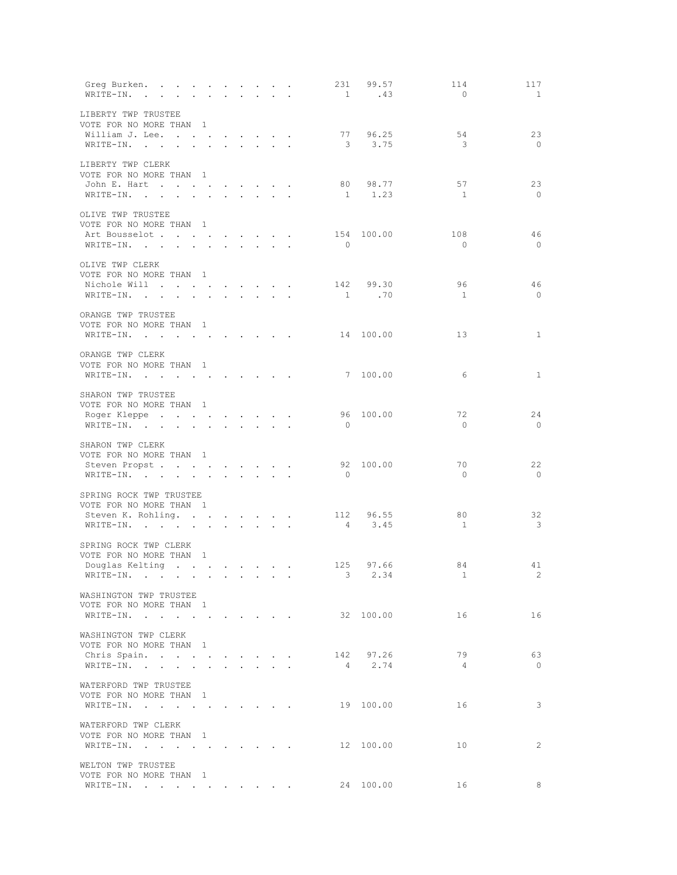| Greg Burken.<br>WRITE-IN.                                                             |                      |                      |                                                                                  |                   |                         |                                                                                            |                          | 231 99.57<br>1 .43  | 114<br>$\overline{0}$         | 117<br>$\overline{1}$          |
|---------------------------------------------------------------------------------------|----------------------|----------------------|----------------------------------------------------------------------------------|-------------------|-------------------------|--------------------------------------------------------------------------------------------|--------------------------|---------------------|-------------------------------|--------------------------------|
| LIBERTY TWP TRUSTEE<br>VOTE FOR NO MORE THAN 1<br>William J. Lee.<br>WRITE-IN.        |                      |                      | $\cdot$ $\cdot$ $\cdot$ $\cdot$ $\cdot$ $\cdot$                                  |                   |                         |                                                                                            |                          | 77 96.25<br>3 3.75  | 54<br>$\overline{\mathbf{3}}$ | 23<br>$\circ$                  |
| LIBERTY TWP CLERK<br>VOTE FOR NO MORE THAN 1<br>John E. Hart<br>WRITE-IN.             | $\ddot{\phantom{0}}$ | $\ddot{\phantom{0}}$ | $\sim$                                                                           | $\sim$ 100 $\sim$ | $\sim$                  | $\sim$                                                                                     | 80                       | 98.77<br>1 1.23     | 57<br>$\overline{1}$          | 23<br>$\overline{0}$           |
| OLIVE TWP TRUSTEE<br>VOTE FOR NO MORE THAN 1<br>Art Bousselot<br>WRITE-IN.            |                      |                      |                                                                                  |                   |                         | $\sim$                                                                                     | $\overline{\phantom{0}}$ | 154 100.00          | 108<br>$\overline{0}$         | 46<br>$\bigcirc$               |
| OLIVE TWP CLERK<br>VOTE FOR NO MORE THAN 1<br>Nichole Will<br>$\verb+WRITE-IN.$       |                      |                      | and the contract of the contract of<br>$\mathbf{r} = \mathbf{r} + \mathbf{r}$ .  |                   |                         |                                                                                            |                          | 142 99.30<br>1 .70  | 96<br>$\overline{1}$          | 46<br>$\overline{0}$           |
| ORANGE TWP TRUSTEE<br>VOTE FOR NO MORE THAN 1<br>WRITE-IN.                            |                      |                      |                                                                                  |                   |                         |                                                                                            |                          | 14 100.00           | 13                            | 1                              |
| ORANGE TWP CLERK<br>VOTE FOR NO MORE THAN 1<br>WRITE-IN.<br>SHARON TWP TRUSTEE        |                      |                      |                                                                                  |                   | and the contract of the |                                                                                            |                          | 7 100.00            | 6                             | 1                              |
| VOTE FOR NO MORE THAN 1<br>Roger Kleppe<br>WRITE-IN.                                  | $\sim$ $\sim$ $\sim$ |                      |                                                                                  |                   |                         |                                                                                            | $\bigcirc$               | 96 100.00           | 72<br>$\overline{0}$          | 24<br>$\overline{\phantom{0}}$ |
| SHARON TWP CLERK<br>VOTE FOR NO MORE THAN 1<br>Steven Propst.<br>WRITE-IN.            |                      |                      | $\mathbf{1}$ and $\mathbf{1}$ and $\mathbf{1}$ and $\mathbf{1}$ and $\mathbf{1}$ |                   |                         |                                                                                            | $\bigcirc$               | 92 100.00           | 70<br>$\bigcirc$              | 22<br>$\circ$                  |
| SPRING ROCK TWP TRUSTEE<br>VOTE FOR NO MORE THAN 1<br>Steven K. Rohling.<br>WRITE-IN. |                      |                      |                                                                                  |                   |                         |                                                                                            |                          | 112 96.55<br>4 3.45 | 80<br>$\mathbf{1}$            | 32<br>$\overline{\mathbf{3}}$  |
| SPRING ROCK TWP CLERK<br>VOTE FOR NO MORE THAN 1<br>Douglas Kelting<br>WRITE-IN.      |                      |                      |                                                                                  |                   |                         | $\mathbf{r} = \mathbf{r} + \mathbf{r} + \mathbf{r} + \mathbf{r} + \mathbf{r} + \mathbf{r}$ | $3 -$                    | 125 97.66<br>2.34   | 84<br>$\mathbf{1}$            | 41<br>2                        |
| WASHINGTON TWP TRUSTEE<br>VOTE FOR NO MORE THAN 1<br>WRITE-IN.                        |                      |                      |                                                                                  |                   |                         |                                                                                            |                          | 32 100.00           | 16                            | 16                             |
| WASHINGTON TWP CLERK<br>VOTE FOR NO MORE THAN 1<br>Chris Spain.<br>WRITE-IN.          |                      |                      |                                                                                  |                   |                         | $\mathcal{L}(\mathcal{A})$ . The contribution of $\mathcal{A}(\mathcal{A})$                |                          | 142 97.26<br>4 2.74 | 79<br>$\overline{4}$          | 63<br>$\overline{0}$           |
| WATERFORD TWP TRUSTEE<br>VOTE FOR NO MORE THAN 1<br>WRITE-IN.                         |                      |                      |                                                                                  |                   |                         |                                                                                            |                          | 19 100.00           | 16                            | $\overline{\mathbf{3}}$        |
| WATERFORD TWP CLERK<br>VOTE FOR NO MORE THAN 1<br>WRITE-IN.                           |                      |                      |                                                                                  |                   |                         | <b>Contract Contract Contract Contract</b>                                                 |                          | 12 100.00           | 10                            | 2                              |
| WELTON TWP TRUSTEE<br>VOTE FOR NO MORE THAN 1<br>WRITE-IN. 24 100.00                  |                      |                      |                                                                                  |                   |                         |                                                                                            |                          |                     | 16                            | $\sim$ 8                       |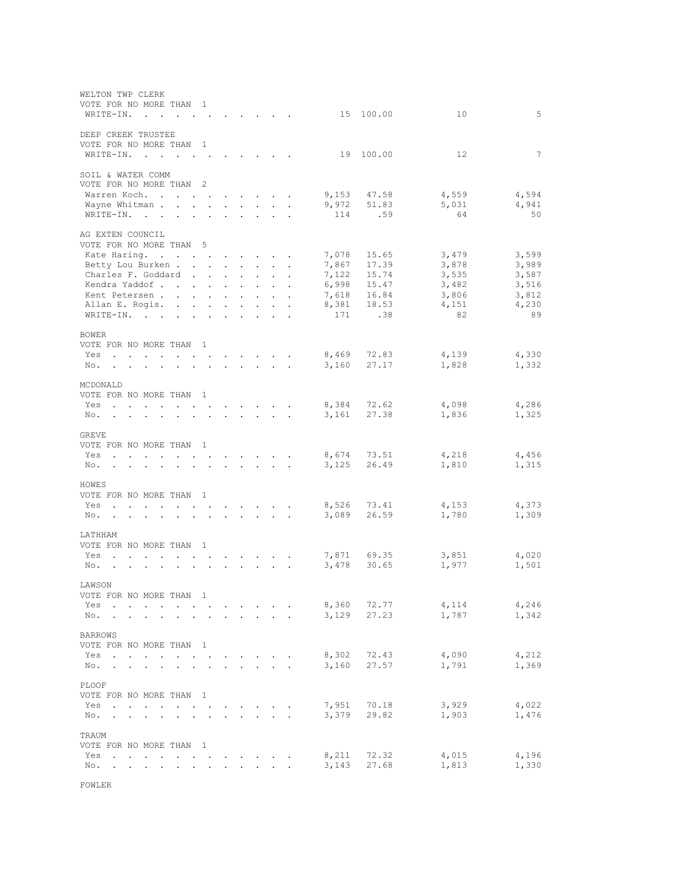| WELTON TWP CLERK<br>VOTE FOR NO MORE THAN                                                                                                                                                                                             |                                          | $\overline{1}$                                                                      |                            |                                                                            |                                                                                        |                                                                  |                      |                |                |                |                |
|---------------------------------------------------------------------------------------------------------------------------------------------------------------------------------------------------------------------------------------|------------------------------------------|-------------------------------------------------------------------------------------|----------------------------|----------------------------------------------------------------------------|----------------------------------------------------------------------------------------|------------------------------------------------------------------|----------------------|----------------|----------------|----------------|----------------|
| WRITE-IN.<br>$\sim$                                                                                                                                                                                                                   |                                          |                                                                                     |                            |                                                                            |                                                                                        |                                                                  |                      |                | 15 100.00      | 10             | 5              |
| DEEP CREEK TRUSTEE<br>VOTE FOR NO MORE THAN 1                                                                                                                                                                                         |                                          |                                                                                     |                            |                                                                            |                                                                                        |                                                                  |                      |                |                |                |                |
| WRITE-IN.<br>$\overline{a}$                                                                                                                                                                                                           |                                          |                                                                                     |                            |                                                                            |                                                                                        |                                                                  |                      | 19             | 100.00         | 12             | 7              |
| SOIL & WATER COMM<br>VOTE FOR NO MORE THAN                                                                                                                                                                                            |                                          | $\overline{\phantom{0}}^2$                                                          |                            |                                                                            |                                                                                        |                                                                  |                      |                |                |                |                |
| Warren Koch                                                                                                                                                                                                                           | $\ddot{\phantom{0}}$                     | $\ddot{\phantom{a}}$                                                                |                            | $\sim$                                                                     | $\sim$                                                                                 | $\sim$                                                           |                      | 9,153          | 47.58          | 4,559          | 4,594          |
| Wayne Whitman.                                                                                                                                                                                                                        | $\bullet$ .                              | $\ddotsc$<br>$\ddot{\phantom{0}}$                                                   | $\mathcal{L}^{\text{max}}$ |                                                                            |                                                                                        | and a state of                                                   | $\ddot{\phantom{a}}$ | 9,972          | 51.83          | 5,031          | 4,941          |
| WRITE-IN.                                                                                                                                                                                                                             |                                          |                                                                                     |                            |                                                                            |                                                                                        |                                                                  |                      | 114            | .59            | 64             | 50             |
| AG EXTEN COUNCIL<br>VOTE FOR NO MORE THAN 5                                                                                                                                                                                           |                                          |                                                                                     |                            |                                                                            |                                                                                        |                                                                  |                      |                |                |                |                |
| Kate Haring.                                                                                                                                                                                                                          |                                          |                                                                                     |                            | $\cdot$ $\cdot$ $\cdot$ $\cdot$ $\cdot$ $\cdot$                            |                                                                                        |                                                                  | $\sim$               | 7,078          | 15.65          | 3,479          | 3,599          |
| Betty Lou Burken                                                                                                                                                                                                                      |                                          |                                                                                     |                            | $\mathbf{r} = \mathbf{r} + \mathbf{r}$                                     |                                                                                        | $\sim$                                                           | $\ddot{\phantom{a}}$ | 7,867          | 17.39          | 3,878          | 3,989          |
| Charles F. Goddard                                                                                                                                                                                                                    |                                          |                                                                                     | $\sim$                     | $\sim$                                                                     | $\mathcal{L}^{\mathcal{L}}$                                                            | $\ddot{\phantom{0}}$                                             |                      | 7,122          | 15.74          | 3,535          | 3,587          |
| Kendra Yaddof<br>Kent Petersen.                                                                                                                                                                                                       | $\sim$                                   | $\sim$ $\sim$ $\sim$ $\sim$ $\sim$                                                  | $\mathbf{L}$               |                                                                            | $\mathbf{r} = \mathbf{r} \cdot \mathbf{r}$<br>$\mathbf{z} = \mathbf{z} + \mathbf{z}$ . | $\sim$<br>$\sim$                                                 | $\ddot{\phantom{a}}$ | 6,998<br>7,618 | 15.47<br>16.84 | 3,482<br>3,806 | 3,516<br>3,812 |
| Allan E. Rogis.                                                                                                                                                                                                                       | $\ddot{\phantom{a}}$                     | $\mathbf{L} = \mathbf{L}$                                                           | $\mathbf{L}$               | $\mathbf{L}$                                                               | $\sim$                                                                                 | $\ddot{\phantom{0}}$                                             |                      | 8,381          | 18.53          | 4,151          | 4,230          |
| WRITE-IN.<br>$\sim$ $\sim$                                                                                                                                                                                                            | $\ddot{\phantom{a}}$                     |                                                                                     | $\bullet$                  |                                                                            |                                                                                        |                                                                  |                      | 171            | .38            | 82             | 89             |
| <b>BOWER</b>                                                                                                                                                                                                                          |                                          |                                                                                     |                            |                                                                            |                                                                                        |                                                                  |                      |                |                |                |                |
| VOTE FOR NO MORE THAN 1                                                                                                                                                                                                               |                                          |                                                                                     |                            |                                                                            |                                                                                        |                                                                  |                      |                |                |                |                |
| Yes<br>and a series of the contract of the series of the series of the series of the series of the series of the series of the series of the series of the series of the series of the series of the series of the series of the seri |                                          |                                                                                     |                            |                                                                            |                                                                                        |                                                                  | $\sim$               | 8,469          | 72.83          | 4,139          | 4,330          |
| No.<br>and a series of the contract of the series of the series of the series of the series of the series of the series of the series of the series of the series of the series of the series of the series of the series of the seri |                                          |                                                                                     |                            |                                                                            |                                                                                        | $\mathbf{1}$ $\mathbf{1}$ $\mathbf{1}$ $\mathbf{1}$ $\mathbf{1}$ |                      | 3,160          | 27.17          | 1,828          | 1,332          |
| MCDONALD                                                                                                                                                                                                                              |                                          |                                                                                     |                            |                                                                            |                                                                                        |                                                                  |                      |                |                |                |                |
| VOTE FOR NO MORE THAN<br>Yes                                                                                                                                                                                                          |                                          | $\mathbf{1}$                                                                        | $\sim$                     |                                                                            |                                                                                        | $\mathbf{r} = \mathbf{r} + \mathbf{r}$                           |                      | 8,384          | 72.62          | 4,098          | 4,286          |
| No.<br>$\alpha$ , $\beta$ , $\alpha$<br><b>Contract Contract Contract</b><br>$\bullet$                                                                                                                                                | $\Box$                                   | $\ddot{\phantom{0}}$                                                                | $\mathcal{L}^{\text{max}}$ |                                                                            | $\mathcal{L}^{\text{max}}$ , where $\mathcal{L}^{\text{max}}$                          |                                                                  |                      | 3,161          | 27.38          | 1,836          | 1,325          |
|                                                                                                                                                                                                                                       |                                          |                                                                                     |                            |                                                                            |                                                                                        |                                                                  |                      |                |                |                |                |
| GREVE<br>VOTE FOR NO MORE THAN 1                                                                                                                                                                                                      |                                          |                                                                                     |                            |                                                                            |                                                                                        |                                                                  |                      |                |                |                |                |
| Yes<br>$\ddot{\phantom{a}}$<br>$\cdot$                                                                                                                                                                                                | $\cdot$                                  | the contract of the contract of the                                                 |                            |                                                                            |                                                                                        |                                                                  |                      | 8,674          | 73.51          | 4,218          | 4,456          |
| No.                                                                                                                                                                                                                                   | $\mathbf{r}$                             | $\mathbf{L}$                                                                        |                            | $\mathbf{r} = \mathbf{r} + \mathbf{r} + \mathbf{r} + \mathbf{r}$           |                                                                                        |                                                                  |                      | 3,125          | 26.49          | 1,810          | 1,315          |
|                                                                                                                                                                                                                                       |                                          |                                                                                     |                            |                                                                            |                                                                                        |                                                                  |                      |                |                |                |                |
| HOWES<br>VOTE FOR NO MORE THAN                                                                                                                                                                                                        |                                          | $\mathbf{1}$                                                                        |                            |                                                                            |                                                                                        |                                                                  |                      |                |                |                |                |
| Yes                                                                                                                                                                                                                                   |                                          | <b>Contractor</b>                                                                   |                            |                                                                            |                                                                                        | $\sim$                                                           |                      | 8,526          | 73.41          | 4,153          | 4,373          |
| No.<br>$\bullet$                                                                                                                                                                                                                      |                                          | $\ddot{\phantom{a}}$<br>$\bullet$ .<br><br><br><br><br><br><br><br><br><br><br><br> | $\ddot{\phantom{0}}$       | $\sim$                                                                     | $\bullet$ .                                                                            | $\sim$                                                           | $\ddot{\phantom{a}}$ | 3,089          | 26.59          | 1,780          | 1,309          |
| LATHHAM                                                                                                                                                                                                                               |                                          |                                                                                     |                            |                                                                            |                                                                                        |                                                                  |                      |                |                |                |                |
| VOTE FOR NO MORE THAN 1                                                                                                                                                                                                               |                                          |                                                                                     |                            |                                                                            |                                                                                        |                                                                  |                      |                |                |                |                |
| Yes<br>$\mathbf{r}$ , and $\mathbf{r}$ , and $\mathbf{r}$ , and $\mathbf{r}$<br>$\ddot{\phantom{a}}$<br>$\sim$                                                                                                                        |                                          |                                                                                     |                            | $\mathbf{z} = \mathbf{z} + \mathbf{z} + \mathbf{z} + \mathbf{z}$           |                                                                                        |                                                                  |                      | 7,871          | 69.35          | 3,851          | 4,020          |
| No.                                                                                                                                                                                                                                   |                                          | $\overline{a}$                                                                      |                            |                                                                            |                                                                                        |                                                                  |                      | 3,478          | 30.65          | 1,977          | 1,501          |
| LAWSON                                                                                                                                                                                                                                |                                          |                                                                                     |                            |                                                                            |                                                                                        |                                                                  |                      |                |                |                |                |
| VOTE FOR NO MORE THAN                                                                                                                                                                                                                 |                                          | 1                                                                                   |                            |                                                                            |                                                                                        |                                                                  |                      |                |                |                |                |
| Yes                                                                                                                                                                                                                                   |                                          |                                                                                     |                            |                                                                            |                                                                                        |                                                                  |                      | 8,360<br>3,129 | 72.77<br>27.23 | 4,114<br>1,787 | 4,246<br>1,342 |
| No.                                                                                                                                                                                                                                   |                                          |                                                                                     |                            |                                                                            | $\ddot{\phantom{0}}$                                                                   | $\ddot{\phantom{0}}$                                             |                      |                |                |                |                |
| <b>BARROWS</b>                                                                                                                                                                                                                        |                                          |                                                                                     |                            |                                                                            |                                                                                        |                                                                  |                      |                |                |                |                |
| VOTE FOR NO MORE THAN 1                                                                                                                                                                                                               |                                          |                                                                                     |                            |                                                                            |                                                                                        |                                                                  |                      |                |                |                |                |
| Yes<br>$\sim$<br>$\bullet$<br>No.                                                                                                                                                                                                     |                                          |                                                                                     |                            |                                                                            |                                                                                        |                                                                  |                      | 8,302<br>3,160 | 72.43<br>27.57 | 4,090<br>1,791 | 4,212<br>1,369 |
|                                                                                                                                                                                                                                       |                                          |                                                                                     |                            |                                                                            |                                                                                        |                                                                  |                      |                |                |                |                |
| PLOOF                                                                                                                                                                                                                                 |                                          |                                                                                     |                            |                                                                            |                                                                                        |                                                                  |                      |                |                |                |                |
| VOTE FOR NO MORE THAN<br>Yes<br>$\ddot{\phantom{0}}$<br>$\bullet$<br>$\ddot{\phantom{a}}$                                                                                                                                             | $\bullet$<br>$\ddot{\phantom{0}}$        | $\overline{\phantom{0}}$<br>$\bullet$                                               |                            |                                                                            |                                                                                        | $\mathbf{z} = \mathbf{z} + \mathbf{z}$ .                         | $\ddot{\phantom{a}}$ | 7,951          | 70.18          | 3,929          | 4,022          |
| No.<br>$\bullet$ .<br><br><br><br><br><br><br><br><br><br><br><br><br><br><br><br><br><br><br><br><br><br><br><br><br><br><br><br><br><br><br><br>$\mathbf{r} = \mathbf{r} + \mathbf{r}$ .                                            | $\mathbf{z} = \mathbf{z} + \mathbf{z}$ . | $\bullet$ .<br><br><br><br><br><br><br><br><br><br><br><br><br>$\bullet$            | $\bullet$ .                | $\bullet$ .<br>$\bullet$ .<br><br><br><br><br><br><br><br><br><br><br><br> |                                                                                        | $\mathbf{z} = \mathbf{z} + \mathbf{z}$ . The $\mathbf{z}$        |                      | 3,379          | 29.82          | 1,903          | 1,476          |
|                                                                                                                                                                                                                                       |                                          |                                                                                     |                            |                                                                            |                                                                                        |                                                                  |                      |                |                |                |                |
| TRAUM<br>VOTE FOR NO MORE THAN                                                                                                                                                                                                        |                                          | $\overline{\phantom{0}}$                                                            |                            |                                                                            |                                                                                        |                                                                  |                      |                |                |                |                |
| Yes                                                                                                                                                                                                                                   |                                          |                                                                                     |                            |                                                                            |                                                                                        |                                                                  |                      | 8,211          | 72.32          | 4,015          | 4,196          |
| No.                                                                                                                                                                                                                                   |                                          |                                                                                     |                            |                                                                            | $\ddot{\phantom{0}}$                                                                   |                                                                  |                      | 3,143          | 27.68          | 1,813          | 1,330          |
|                                                                                                                                                                                                                                       |                                          |                                                                                     |                            |                                                                            |                                                                                        |                                                                  |                      |                |                |                |                |

FOWLER